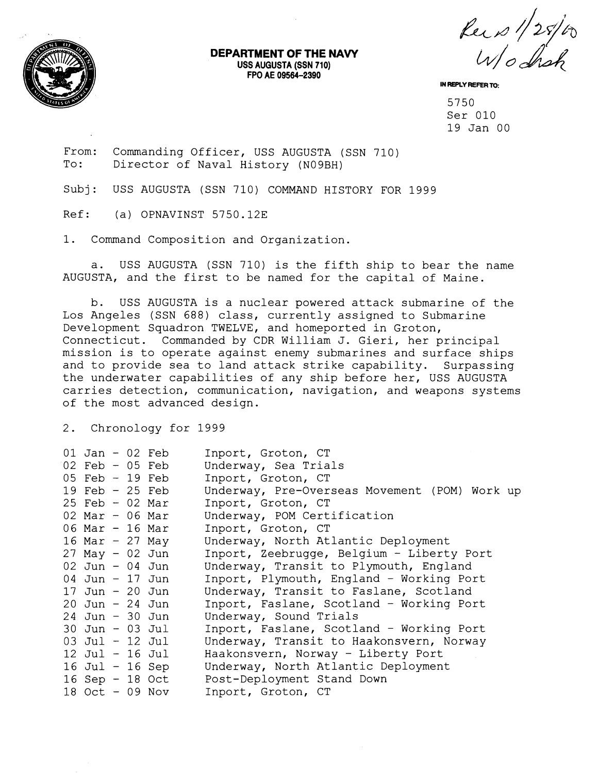

## **DEPARTMENT OF THE NAVY USS AUGUSTA (SSN 710) FPO AE 09564-2390**

Reis 1/25/00

**IN REPLY REFER TO:** 

5750 Ser 010 19 Jan 00

From: Commanding Officer, USS AUGUSTA (SSN 710)<br>To: Director of Naval History (N09BH) Director of Naval History (N09BH)

Subj: USS AUGUSTA (SSN 710) COMMAND HISTORY FOR 1999

Ref: (a) OPNAVINST 5750.12E

1. Command Composition and Organization.

a. USS AUGUSTA (SSN 710) is the fifth ship to bear the name AUGUSTA, and the first to be named for the capital of Maine.

b. USS AUGUSTA is a nuclear powered attack submarine of the Los Angeles (SSN 688) class, currently assigned to Submarine Development Squadron TWELVE, and homeported in Groton, Connecticut. Commanded by CDR William J. Gieri, her principal mission is to operate against enemy submarines and surface ships and to provide sea to land attack strike capability. Surpassing the underwater capabilities of any ship before her, USS AUGUSTA carries detection, communication, navigation, and weapons systems of the most advanced design.

2. Chronology for 1999

| 01 Jan - 02 Feb<br>$02$ Feb - $05$ Feb<br>$05$ Feb $-19$ Feb<br>19 Feb $-$ 25 Feb<br>$25$ Feb - 02 Mar<br>$02$ Mar - 06 Mar<br>06 Mar - 16 Mar<br>16 Mar - 27 May<br>$27$ May - 02 Jun<br>$02$ Jun - 04 Jun<br>04 Jun - 17 Jun<br>17 Jun - 20 Jun<br>$20$ Jun - $24$ Jun<br>$24$ Jun - 30 Jun<br>$30$ Jun - 03 Jul<br>$03$ Jul - 12 Jul<br>$12$ Jul - 16 Jul<br>$16$ Jul - $16$ Sep |                 | Inport, Groton, CT<br>Underway, Sea Trials<br>Inport, Groton, CT<br>Underway, Pre-Overseas Movement (POM) Work up<br>Inport, Groton, CT<br>Underway, POM Certification<br>Inport, Groton, CT<br>Underway, North Atlantic Deployment<br>Inport, Zeebrugge, Belgium - Liberty Port<br>Underway, Transit to Plymouth, England<br>Inport, Plymouth, England - Working Port<br>Underway, Transit to Faslane, Scotland<br>Inport, Faslane, Scotland - Working Port<br>Underway, Sound Trials<br>Inport, Faslane, Scotland - Working Port<br>Underway, Transit to Haakonsvern, Norway<br>Haakonsvern, Norway - Liberty Port<br>Underway, North Atlantic Deployment |
|-------------------------------------------------------------------------------------------------------------------------------------------------------------------------------------------------------------------------------------------------------------------------------------------------------------------------------------------------------------------------------------|-----------------|-------------------------------------------------------------------------------------------------------------------------------------------------------------------------------------------------------------------------------------------------------------------------------------------------------------------------------------------------------------------------------------------------------------------------------------------------------------------------------------------------------------------------------------------------------------------------------------------------------------------------------------------------------------|
| $18$ Oct - 09 Nov                                                                                                                                                                                                                                                                                                                                                                   | 16 Sep - 18 Oct | Post-Deployment Stand Down<br>Inport, Groton, CT                                                                                                                                                                                                                                                                                                                                                                                                                                                                                                                                                                                                            |
|                                                                                                                                                                                                                                                                                                                                                                                     |                 |                                                                                                                                                                                                                                                                                                                                                                                                                                                                                                                                                                                                                                                             |